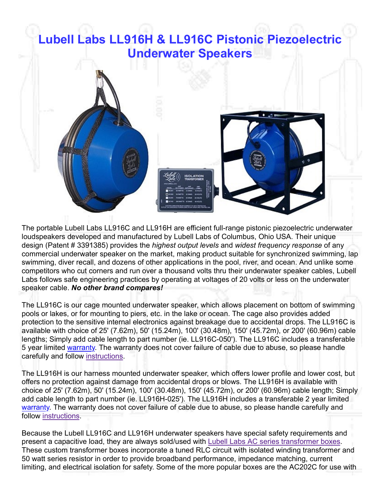## Lubell Labs LL916H & LL916C Pistonic Piezoelectric Underwater Speakers



The portable Lubell Labs LL916C and LL916H are efficient full-range pistonic piezoelectric underwater loudspeakers developed and manufactured by Lubell Labs of Columbus, Ohio USA. Their unique design (Patent # 3391385) provides the *highest output levels* and *widest frequency response* of any commercial underwater speaker on the market, making product suitable for synchronized swimming, lap swimming, diver recall, and dozens of other applications in the pool, river, and ocean. And unlike some competitors who cut corners and run over a thousand volts thru their underwater speaker cables, Lubell Labs follows safe engineering practices by operating at voltages of 20 volts or less on the underwater speaker cable. No other brand compares! The portable Lubell Labs LL916C and LL916H are efficient full-range pistonic piezoelectric underwater<br>oludiospeakers developed and manufactured by Lubell Labs of Columbus. Ohio USA. Their unique<br>design (Patent # 3391385) p

The LL916C is our cage mounted underwater speaker, which allows placement on bottom of swimming pools or lakes, or for mounting to piers, etc. in the lake or ocean. The cage also provides added protection to the sensitive internal electronics against breakage due to accidental drops. The LL916C is available with choice of 25' (7.62m), 50' (15.24m), 100' (30.48m), 150' (45.72m), or 200' (60.96m) cable lengths; Simply add cable length to part number (ie. LL916C-050'). The LL916C includes a transferable 5 year limited warranty. The warranty does not cover failure of cable due to abuse, so please handle carefully and follow instructions.

The LL916H is our harness mounted underwater speaker, which offers lower profile and lower cost, but choice of 25' (7.62m), 50' (15.24m), 100' (30.48m), 150' (45.72m), or 200' (60.96m) cable length; Simply add cable length to part number (ie. LL916H-025'). The LL916H includes a transferable 2 year limited warranty. The warranty does not cover failure of cable due to abuse, so please handle carefully and follow instructions.

Because the Lubell LL916C and LL916H underwater speakers have special safety requirements and present a capacitive load, they are always sold/used with Lubell Labs AC series transformer boxes. These custom transformer boxes incorporate a tuned RLC circuit with isolated winding transformer and 50 watt series resistor in order to provide broadband performance, impedance matching, current limiting, and electrical isolation for safety. Some of the more popular boxes are the AC202C for use with